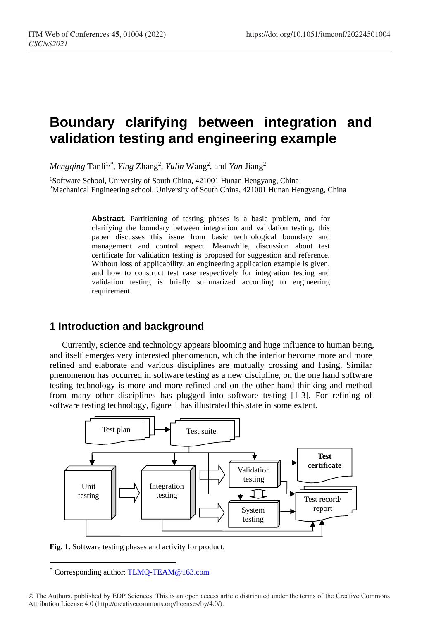# **Boundary clarifying between integration and validation testing and engineering example**

*Mengqing* Tanli<sup>1,[\\*](#page-0-0)</sup>, *Ying Zhang<sup>2</sup>, Yulin* Wang<sup>2</sup>, and *Yan Jiang<sup>2</sup>* 

<sup>1</sup>Software School, University of South China, 421001 Hunan Hengyang, China 2Mechanical Engineering school, University of South China, 421001 Hunan Hengyang, China

> **Abstract.** Partitioning of testing phases is a basic problem, and for clarifying the boundary between integration and validation testing, this paper discusses this issue from basic technological boundary and management and control aspect. Meanwhile, discussion about test certificate for validation testing is proposed for suggestion and reference. Without loss of applicability, an engineering application example is given, and how to construct test case respectively for integration testing and validation testing is briefly summarized according to engineering requirement.

### **1 Introduction and background**

Currently, science and technology appears blooming and huge influence to human being, and itself emerges very interested phenomenon, which the interior become more and more refined and elaborate and various disciplines are mutually crossing and fusing. Similar phenomenon has occurred in software testing as a new discipline, on the one hand software testing technology is more and more refined and on the other hand thinking and method from many other disciplines has plugged into software testing [1-3]. For refining of software testing technology, figure 1 has illustrated this state in some extent.



**Fig. 1.** Software testing phases and activity for product.

 $\ddot{ }$ 

<span id="page-0-0"></span>Corresponding author: [TLMQ-TEAM@163.co](mailto:author@email.org)m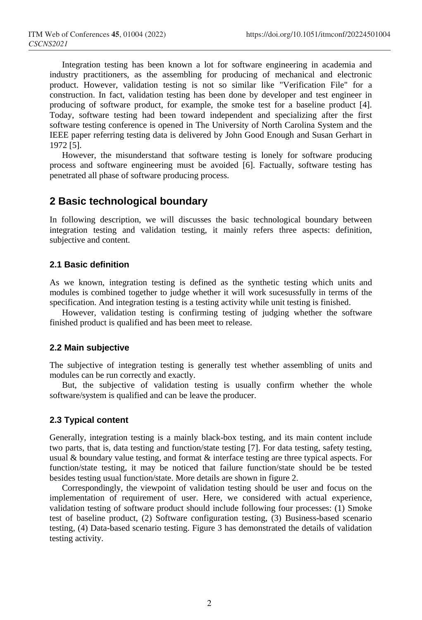Integration testing has been known a lot for software engineering in academia and industry practitioners, as the assembling for producing of mechanical and electronic product. However, validation testing is not so similar like "Verification File" for a construction. In fact, validation testing has been done by developer and test engineer in producing of software product, for example, the smoke test for a baseline product [4]. Today, software testing had been toward independent and specializing after the first software testing conference is opened in The University of North Carolina System and the IEEE paper referring testing data is delivered by John Good Enough and Susan Gerhart in 1972 [5].

However, the misunderstand that software testing is lonely for software producing process and software engineering must be avoided [6]. Factually, software testing has penetrated all phase of software producing process.

### **2 Basic technological boundary**

In following description, we will discusses the basic technological boundary between integration testing and validation testing, it mainly refers three aspects: definition, subjective and content.

#### **2.1 Basic definition**

As we known, integration testing is defined as the synthetic testing which units and modules is combined together to judge whether it will work sucesussfully in terms of the specification. And integration testing is a testing activity while unit testing is finished.

However, validation testing is confirming testing of judging whether the software finished product is qualified and has been meet to release.

#### **2.2 Main subjective**

The subjective of integration testing is generally test whether assembling of units and modules can be run correctly and exactly.

But, the subjective of validation testing is usually confirm whether the whole software/system is qualified and can be leave the producer.

#### **2.3 Typical content**

Generally, integration testing is a mainly black-box testing, and its main content include two parts, that is, data testing and function/state testing [7]. For data testing, safety testing, usual & boundary value testing, and format & interface testing are three typical aspects. For function/state testing, it may be noticed that failure function/state should be be tested besides testing usual function/state. More details are shown in figure 2.

Correspondingly, the viewpoint of validation testing should be user and focus on the implementation of requirement of user. Here, we considered with actual experience, validation testing of software product should include following four processes: (1) Smoke test of baseline product, (2) Software configuration testing, (3) Business-based scenario testing, (4) Data-based scenario testing. Figure 3 has demonstrated the details of validation testing activity.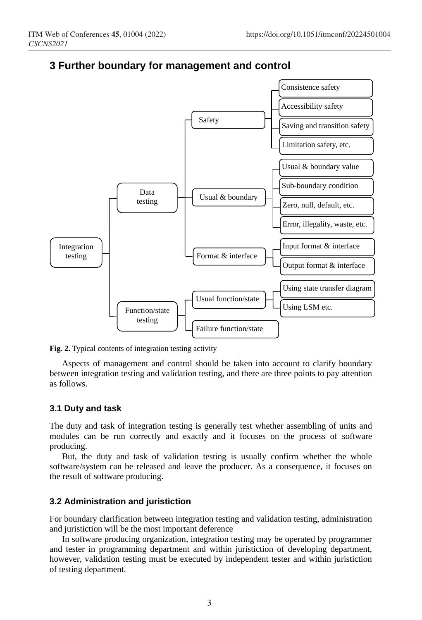

### **3 Further boundary for management and control**

**Fig. 2.** Typical contents of integration testing activity

Aspects of management and control should be taken into account to clarify boundary between integration testing and validation testing, and there are three points to pay attention as follows.

#### **3.1 Duty and task**

The duty and task of integration testing is generally test whether assembling of units and modules can be run correctly and exactly and it focuses on the process of software producing.

But, the duty and task of validation testing is usually confirm whether the whole software/system can be released and leave the producer. As a consequence, it focuses on the result of software producing.

#### **3.2 Administration and juristiction**

For boundary clarification between integration testing and validation testing, administration and juristiction will be the most important deference

In software producing organization, integration testing may be operated by programmer and tester in programming department and within juristiction of developing department, however, validation testing must be executed by independent tester and within juristiction of testing department.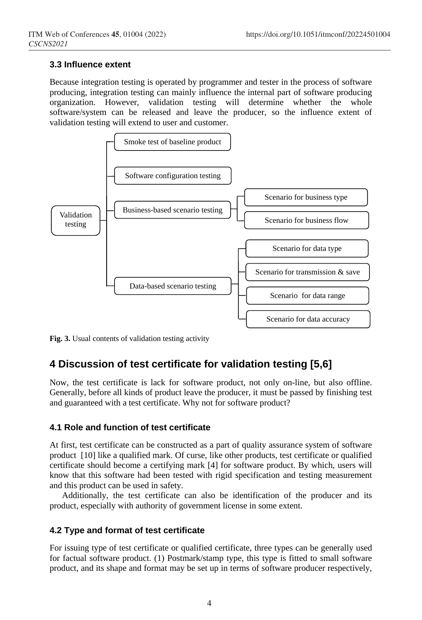#### **3.3 Influence extent**

Because integration testing is operated by programmer and tester in the process of software producing, integration testing can mainly influence the internal part of software producing organization. However, validation testing will determine whether the whole software/system can be released and leave the producer, so the influence extent of validation testing will extend to user and customer.



**Fig. 3.** Usual contents of validation testing activity

## **4 Discussion of test certificate for validation testing [5,6]**

Now, the test certificate is lack for software product, not only on-line, but also offline. Generally, before all kinds of product leave the producer, it must be passed by finishing test and guaranteed with a test certificate. Why not for software product?

#### **4.1 Role and function of test certificate**

At first, test certificate can be constructed as a part of quality assurance system of software product [10] like a qualified mark. Of curse, like other products, test certificate or qualified certificate should become a certifying mark [4] for software product. By which, users will know that this software had been tested with rigid specification and testing measurement and this product can be used in safety.

Additionally, the test certificate can also be identification of the producer and its product, especially with authority of government license in some extent.

#### **4.2 Type and format of test certificate**

For issuing type of test certificate or qualified certificate, three types can be generally used for factual software product. (1) Postmark/stamp type, this type is fitted to small software product, and its shape and format may be set up in terms of software producer respectively,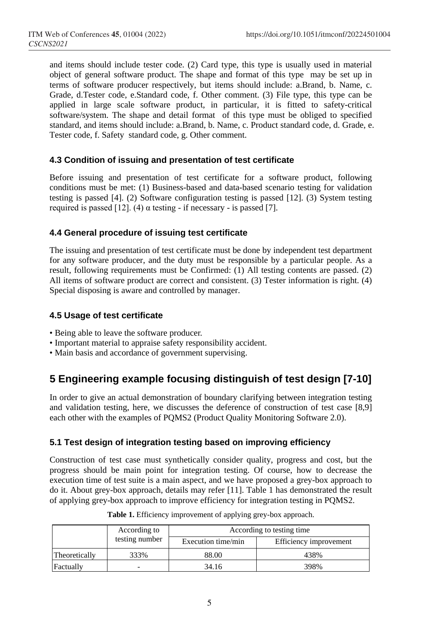and items should include tester code. (2) Card type, this type is usually used in material object of general software product. The shape and format of this type may be set up in terms of software producer respectively, but items should include: a.Brand, b. Name, c. Grade, d.Tester code, e.Standard code, f. Other comment. (3) File type, this type can be applied in large scale software product, in particular, it is fitted to safety-critical software/system. The shape and detail format of this type must be obliged to specified standard, and items should include: a.Brand, b. Name, c. Product standard code, d. Grade, e. Tester code, f. Safety standard code, g. Other comment.

#### **4.3 Condition of issuing and presentation of test certificate**

Before issuing and presentation of test certificate for a software product, following conditions must be met: (1) Business-based and data-based scenario testing for validation testing is passed [4]. (2) Software configuration testing is passed [12]. (3) System testing required is passed [12]. (4) α testing - if necessary - is passed [7].

#### **4.4 General procedure of issuing test certificate**

The issuing and presentation of test certificate must be done by independent test department for any software producer, and the duty must be responsible by a particular people. As a result, following requirements must be Confirmed: (1) All testing contents are passed. (2) All items of software product are correct and consistent. (3) Tester information is right. (4) Special disposing is aware and controlled by manager.

#### **4.5 Usage of test certificate**

- Being able to leave the software producer.
- Important material to appraise safety responsibility accident.
- Main basis and accordance of government supervising.

## **5 Engineering example focusing distinguish of test design [7-10]**

In order to give an actual demonstration of boundary clarifying between integration testing and validation testing, here, we discusses the deference of construction of test case [8,9] each other with the examples of PQMS2 (Product Quality Monitoring Software 2.0).

### **5.1 Test design of integration testing based on improving efficiency**

Construction of test case must synthetically consider quality, progress and cost, but the progress should be main point for integration testing. Of course, how to decrease the execution time of test suite is a main aspect, and we have proposed a grey-box approach to do it. About grey-box approach, details may refer [11]. Table 1 has demonstrated the result of applying grey-box approach to improve efficiency for integration testing in PQMS2.

|               | According to   | According to testing time |                        |  |  |
|---------------|----------------|---------------------------|------------------------|--|--|
|               | testing number | Execution time/min        | Efficiency improvement |  |  |
| Theoretically | 333%           | 88.00                     | 438%                   |  |  |
| Factually     |                | 34.16                     | 398%                   |  |  |

**Table 1.** Efficiency improvement of applying grey-box approach.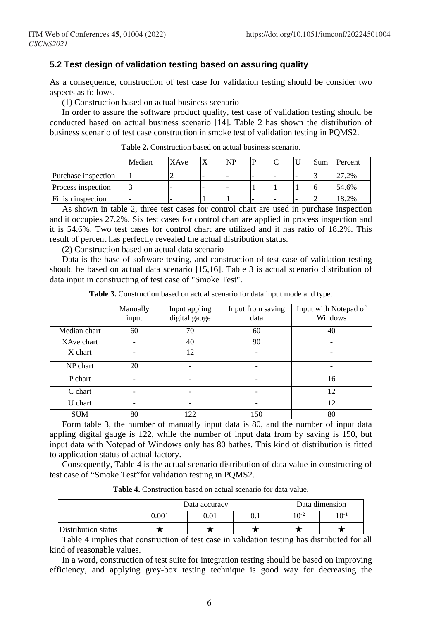#### **5.2 Test design of validation testing based on assuring quality**

As a consequence, construction of test case for validation testing should be consider two aspects as follows.

(1) Construction based on actual business scenario

In order to assure the software product quality, test case of validation testing should be conducted based on actual business scenario [14]. Table 2 has shown the distribution of business scenario of test case construction in smoke test of validation testing in PQMS2.

|                     | Median | XAve | <b>NP</b> |   |  | Sum | Percent |
|---------------------|--------|------|-----------|---|--|-----|---------|
| Purchase inspection |        |      |           | - |  |     | 27.2%   |
| Process inspection  |        |      |           |   |  |     | 54.6%   |
| Finish inspection   |        |      |           |   |  |     | 18.2%   |

**Table 2.** Construction based on actual business scenario.

As shown in table 2, three test cases for control chart are used in purchase inspection and it occupies 27.2%. Six test cases for control chart are applied in process inspection and it is 54.6%. Two test cases for control chart are utilized and it has ratio of 18.2%. This result of percent has perfectly revealed the actual distribution status.

(2) Construction based on actual data scenario

Data is the base of software testing, and construction of test case of validation testing should be based on actual data scenario [15,16]. Table 3 is actual scenario distribution of data input in constructing of test case of "Smoke Test".

|              | Manually<br>input | Input appling<br>digital gauge | Input from saving<br>data | Input with Notepad of<br>Windows |
|--------------|-------------------|--------------------------------|---------------------------|----------------------------------|
| Median chart | 60                | 70                             | 60                        | 40                               |
| XAve chart   |                   | 40                             | 90                        |                                  |
| X chart      |                   | 12                             |                           |                                  |
| NP chart     | 20                |                                |                           | -                                |
| P chart      |                   |                                |                           | 16                               |
| C chart      |                   |                                |                           | 12                               |
| U chart      |                   |                                |                           | 12                               |
| <b>SUM</b>   | 80                | 122                            | 150                       | 80                               |

**Table 3.** Construction based on actual scenario for data input mode and type.

Form table 3, the number of manually input data is 80, and the number of input data appling digital gauge is 122, while the number of input data from by saving is 150, but input data with Notepad of Windows only has 80 bathes. This kind of distribution is fitted to application status of actual factory.

Consequently, Table 4 is the actual scenario distribution of data value in constructing of test case of "Smoke Test"for validation testing in PQMS2.

| <b>Table 4.</b> Construction based on actual scenario for data value. |  |  |  |
|-----------------------------------------------------------------------|--|--|--|
|-----------------------------------------------------------------------|--|--|--|

|                     |       | Data accuracy | Data dimension |           |           |
|---------------------|-------|---------------|----------------|-----------|-----------|
|                     | 0.001 | 0.01          | 0.1            | $10^{-2}$ | $10^{-1}$ |
| Distribution status |       |               |                |           |           |

Table 4 implies that construction of test case in validation testing has distributed for all kind of reasonable values.

In a word, construction of test suite for integration testing should be based on improving efficiency, and applying grey-box testing technique is good way for decreasing the